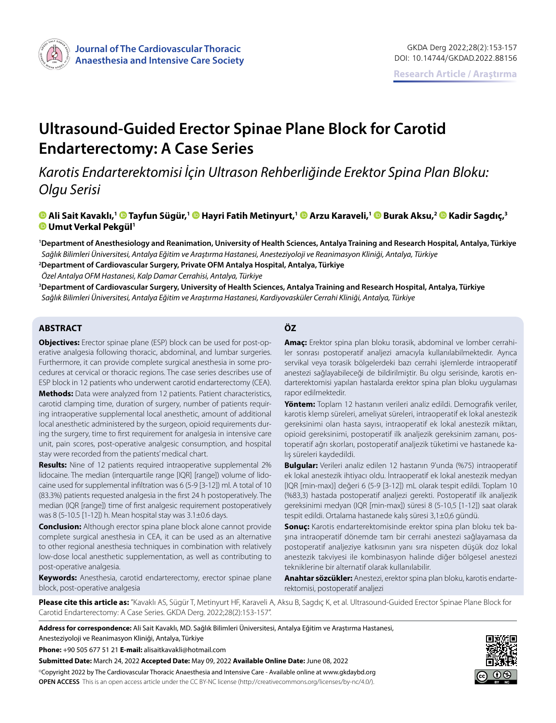

# **Ultrasound-Guided Erector Spinae Plane Block for Carotid Endarterectomy: A Case Series**

*Karotis Endarterektomisi İçin Ultrason Rehberliğinde Erektor Spina Plan Bloku: Olgu Serisi*

**Ali Sait Kavaklı,1 [T](https://orcid.org/0000-0002-2965-4601)ayfun Sügür,[1](https://orcid.org/0000-0001-7446-0884) Hayri Fatih Metinyurt,1Arzu Karaveli,1Burak Aksu,[2 K](https://orcid.org/0000-0001-7408-3302)adir Sagdıç,3 Umut Verkal Pekgül1**

**1 Department of Anesthesiology and Reanimation, University of Health Sciences, Antalya Training and Research Hospital, Antalya, Türkiye** *Sağlık Bilimleri Üniversitesi, Antalya Eğitim ve Araştırma Hastanesi, Anesteziyoloji ve Reanimasyon Kliniği, Antalya, Türkiye*

**2 Department of Cardiovascular Surgery, Private OFM Antalya Hospital, Antalya, Türkiye**

*Özel Antalya OFM Hastanesi, Kalp Damar Cerrahisi, Antalya, Türkiye*

**3 Department of Cardiovascular Surgery, University of Health Sciences, Antalya Training and Research Hospital, Antalya, Türkiye** *Sağlık Bilimleri Üniversitesi, Antalya Eğitim ve Araştırma Hastanesi, Kardiyovasküler Cerrahi Kliniği, Antalya, Türkiye*

## **ABSTRACT ÖZ**

**Objectives:** Erector spinae plane (ESP) block can be used for post-operative analgesia following thoracic, abdominal, and lumbar surgeries. Furthermore, it can provide complete surgical anesthesia in some procedures at cervical or thoracic regions. The case series describes use of ESP block in 12 patients who underwent carotid endarterectomy (CEA).

**Methods:** Data were analyzed from 12 patients. Patient characteristics, carotid clamping time, duration of surgery, number of patients requiring intraoperative supplemental local anesthetic, amount of additional local anesthetic administered by the surgeon, opioid requirements during the surgery, time to first requirement for analgesia in intensive care unit, pain scores, post-operative analgesic consumption, and hospital stay were recorded from the patients' medical chart.

**Results:** Nine of 12 patients required intraoperative supplemental 2% lidocaine. The median (interquartile range [IQR] [range]) volume of lidocaine used for supplemental infiltration was 6 (5-9 [3-12]) ml. A total of 10 (83.3%) patients requested analgesia in the first 24 h postoperatively. The median (IQR [range]) time of first analgesic requirement postoperatively was 8 (5-10.5 [1-12]) h. Mean hospital stay was 3.1±0.6 days.

**Conclusion:** Although erector spina plane block alone cannot provide complete surgical anesthesia in CEA, it can be used as an alternative to other regional anesthesia techniques in combination with relatively low-dose local anesthetic supplementation, as well as contributing to post-operative analgesia.

**Keywords:** Anesthesia, carotid endarterectomy, erector spinae plane block, post-operative analgesia

**Amaç:** Erektor spina plan bloku torasik, abdominal ve lomber cerrahiler sonrası postoperatif analjezi amacıyla kullanılabilmektedir. Ayrıca servikal veya torasik bölgelerdeki bazı cerrahi işlemlerde intraoperatif anestezi sağlayabileceği de bildirilmiştir. Bu olgu serisinde, karotis endarterektomisi yapılan hastalarda erektor spina plan bloku uygulaması rapor edilmektedir.

**Yöntem:** Toplam 12 hastanın verileri analiz edildi. Demografik veriler, karotis klemp süreleri, ameliyat süreleri, intraoperatif ek lokal anestezik gereksinimi olan hasta sayısı, intraoperatif ek lokal anestezik miktarı, opioid gereksinimi, postoperatif ilk analjezik gereksinim zamanı, postoperatif ağrı skorları, postoperatif analjezik tüketimi ve hastanede kalış süreleri kaydedildi.

**Bulgular:** Verileri analiz edilen 12 hastanın 9'unda (%75) intraoperatif ek lokal anestezik ihtiyacı oldu. İntraoperatif ek lokal anestezik medyan [IQR [min-max)] değeri 6 (5-9 [3-12]) mL olarak tespit edildi. Toplam 10 (%83,3) hastada postoperatif analjezi gerekti. Postoperatif ilk analjezik gereksinimi medyan (IQR [min-max]) süresi 8 (5-10,5 [1-12]) saat olarak tespit edildi. Ortalama hastanede kalış süresi 3,1±0,6 gündü.

**Sonuç:** Karotis endarterektomisinde erektor spina plan bloku tek başına intraoperatif dönemde tam bir cerrahi anestezi sağlayamasa da postoperatif analjeziye katkısının yanı sıra nispeten düşük doz lokal anestezik takviyesi ile kombinasyon halinde diğer bölgesel anestezi tekniklerine bir alternatif olarak kullanılabilir.

**Anahtar sözcükler:** Anestezi, erektor spina plan bloku, karotis endarterektomisi, postoperatif analjezi

**Please cite this article as:** "Kavaklı AS, Sügür T, Metinyurt HF, Karaveli A, Aksu B, Sagdıç K, et al. Ultrasound-Guided Erector Spinae Plane Block for Carotid Endarterectomy: A Case Series. GKDA Derg. 2022;28(2):153-157".

**Address for correspondence:** Ali Sait Kavaklı, MD. Sağlık Bilimleri Üniversitesi, Antalya Eğitim ve Araştırma Hastanesi, Anesteziyoloji ve Reanimasyon Kliniği, Antalya, Türkiye

**Phone:** +90 505 677 51 21 **E-mail:** alisaitkavakli@hotmail.com

**Submitted Date:** March 24, 2022 **Accepted Date:** May 09, 2022 **Available Online Date:** June 08, 2022 ©Copyright 2022 by The Cardiovascular Thoracic Anaesthesia and Intensive Care - Available online at www.gkdaybd.org **OPEN ACCESS** This is an open access article under the CC BY-NC license (http://creativecommons.org/licenses/by-nc/4.0/).

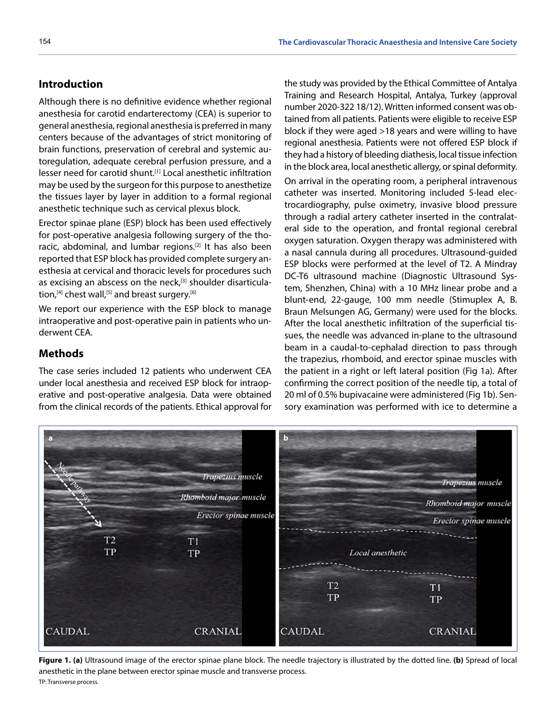# **Introduction**

Although there is no definitive evidence whether regional anesthesia for carotid endarterectomy (CEA) is superior to general anesthesia, regional anesthesia is preferred in many centers because of the advantages of strict monitoring of brain functions, preservation of cerebral and systemic autoregulation, adequate cerebral perfusion pressure, and a lesser need for carotid shunt.[1] Local anesthetic infiltration may be used by the surgeon for this purpose to anesthetize the tissues layer by layer in addition to a formal regional anesthetic technique such as cervical plexus block.

Erector spinae plane (ESP) block has been used effectively for post-operative analgesia following surgery of the thoracic, abdominal, and lumbar regions.<sup>[2]</sup> It has also been reported that ESP block has provided complete surgery anesthesia at cervical and thoracic levels for procedures such as excising an abscess on the neck,<sup>[3]</sup> shoulder disarticulation,<sup>[4]</sup> chest wall,<sup>[5]</sup> and breast surgery.<sup>[6]</sup>

We report our experience with the ESP block to manage intraoperative and post-operative pain in patients who underwent CEA.

# **Methods**

The case series included 12 patients who underwent CEA under local anesthesia and received ESP block for intraoperative and post-operative analgesia. Data were obtained from the clinical records of the patients. Ethical approval for the study was provided by the Ethical Committee of Antalya Training and Research Hospital, Antalya, Turkey (approval number 2020-322 18/12). Written informed consent was obtained from all patients. Patients were eligible to receive ESP block if they were aged >18 years and were willing to have regional anesthesia. Patients were not offered ESP block if they had a history of bleeding diathesis, local tissue infection in the block area, local anesthetic allergy, or spinal deformity. On arrival in the operating room, a peripheral intravenous catheter was inserted. Monitoring included 5-lead electrocardiography, pulse oximetry, invasive blood pressure through a radial artery catheter inserted in the contralateral side to the operation, and frontal regional cerebral oxygen saturation. Oxygen therapy was administered with a nasal cannula during all procedures. Ultrasound-guided ESP blocks were performed at the level of T2. A Mindray DC-T6 ultrasound machine (Diagnostic Ultrasound System, Shenzhen, China) with a 10 MHz linear probe and a blunt-end, 22-gauge, 100 mm needle (Stimuplex A, B. Braun Melsungen AG, Germany) were used for the blocks. After the local anesthetic infiltration of the superficial tissues, the needle was advanced in-plane to the ultrasound beam in a caudal-to-cephalad direction to pass through the trapezius, rhomboid, and erector spinae muscles with the patient in a right or left lateral position (Fig 1a). After confirming the correct position of the needle tip, a total of 20 ml of 0.5% bupivacaine were administered (Fig 1b). Sensory examination was performed with ice to determine a



**Figure 1. (a)** Ultrasound image of the erector spinae plane block. The needle trajectory is illustrated by the dotted line. **(b)** Spread of local anesthetic in the plane between erector spinae muscle and transverse process. TP: Transverse process.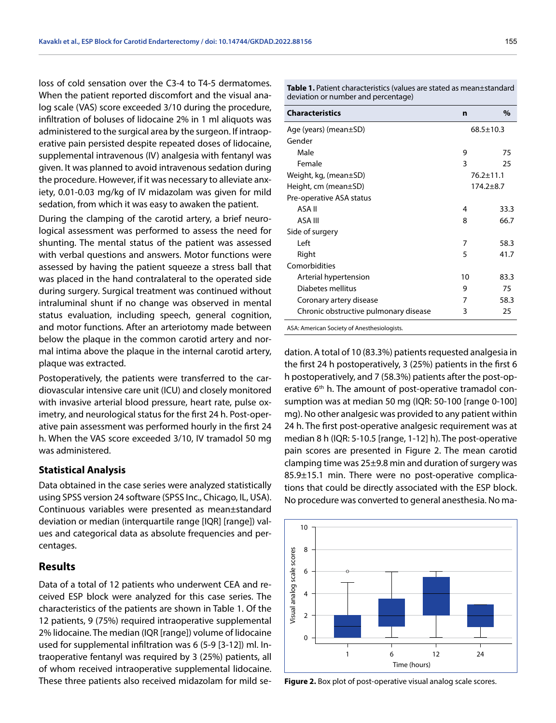loss of cold sensation over the C3-4 to T4-5 dermatomes. When the patient reported discomfort and the visual analog scale (VAS) score exceeded 3/10 during the procedure, infiltration of boluses of lidocaine 2% in 1 ml aliquots was administered to the surgical area by the surgeon. If intraoperative pain persisted despite repeated doses of lidocaine, supplemental intravenous (IV) analgesia with fentanyl was given. It was planned to avoid intravenous sedation during the procedure. However, if it was necessary to alleviate anxiety, 0.01-0.03 mg/kg of IV midazolam was given for mild sedation, from which it was easy to awaken the patient.

During the clamping of the carotid artery, a brief neurological assessment was performed to assess the need for shunting. The mental status of the patient was assessed with verbal questions and answers. Motor functions were assessed by having the patient squeeze a stress ball that was placed in the hand contralateral to the operated side during surgery. Surgical treatment was continued without intraluminal shunt if no change was observed in mental status evaluation, including speech, general cognition, and motor functions. After an arteriotomy made between below the plaque in the common carotid artery and normal intima above the plaque in the internal carotid artery, plaque was extracted.

Postoperatively, the patients were transferred to the cardiovascular intensive care unit (ICU) and closely monitored with invasive arterial blood pressure, heart rate, pulse oximetry, and neurological status for the first 24 h. Post-operative pain assessment was performed hourly in the first 24 h. When the VAS score exceeded 3/10, IV tramadol 50 mg was administered.

#### **Statistical Analysis**

Data obtained in the case series were analyzed statistically using SPSS version 24 software (SPSS Inc., Chicago, IL, USA). Continuous variables were presented as mean±standard deviation or median (interquartile range [IQR] [range]) values and categorical data as absolute frequencies and percentages.

# **Results**

Data of a total of 12 patients who underwent CEA and received ESP block were analyzed for this case series. The characteristics of the patients are shown in Table 1. Of the 12 patients, 9 (75%) required intraoperative supplemental 2% lidocaine. The median (IQR [range]) volume of lidocaine used for supplemental infiltration was 6 (5-9 [3-12]) ml. Intraoperative fentanyl was required by 3 (25%) patients, all of whom received intraoperative supplemental lidocaine. These three patients also received midazolam for mild seTable 1. Patient characteristics (values are stated as mean±standard deviation or number and percentage)

| <b>Characteristics</b>                | n               | $\frac{0}{0}$ |
|---------------------------------------|-----------------|---------------|
| Age (years) (mean $\pm$ SD)           | $68.5 \pm 10.3$ |               |
| Gender                                |                 |               |
| Male                                  | 9               | 75            |
| Female                                | 3               | 25            |
| Weight, kg, (mean $\pm$ SD)           | $76.2 \pm 11.1$ |               |
| Height, cm (mean±SD)                  | $174.2 + 8.7$   |               |
| Pre-operative ASA status              |                 |               |
| ASA II                                | 4               | 33.3          |
| ASA III                               | 8               | 66.7          |
| Side of surgery                       |                 |               |
| l eft                                 | 7               | 58.3          |
| Right                                 | 5               | 41.7          |
| Comorbidities                         |                 |               |
| Arterial hypertension                 | 10              | 83.3          |
| Diabetes mellitus                     | 9               | 75            |
| Coronary artery disease               | 7               | 58.3          |
| Chronic obstructive pulmonary disease | 3               | 25            |

ASA: American Society of Anesthesiologists.

dation. A total of 10 (83.3%) patients requested analgesia in the first 24 h postoperatively, 3 (25%) patients in the first 6 h postoperatively, and 7 (58.3%) patients after the post-operative  $6<sup>th</sup>$  h. The amount of post-operative tramadol consumption was at median 50 mg (IQR: 50-100 [range 0-100] mg). No other analgesic was provided to any patient within 24 h. The first post-operative analgesic requirement was at median 8 h (IQR: 5-10.5 [range, 1-12] h). The post-operative pain scores are presented in Figure 2. The mean carotid clamping time was 25±9.8 min and duration of surgery was 85.9±15.1 min. There were no post-operative complications that could be directly associated with the ESP block. No procedure was converted to general anesthesia. No ma-



**Figure 2.** Box plot of post-operative visual analog scale scores.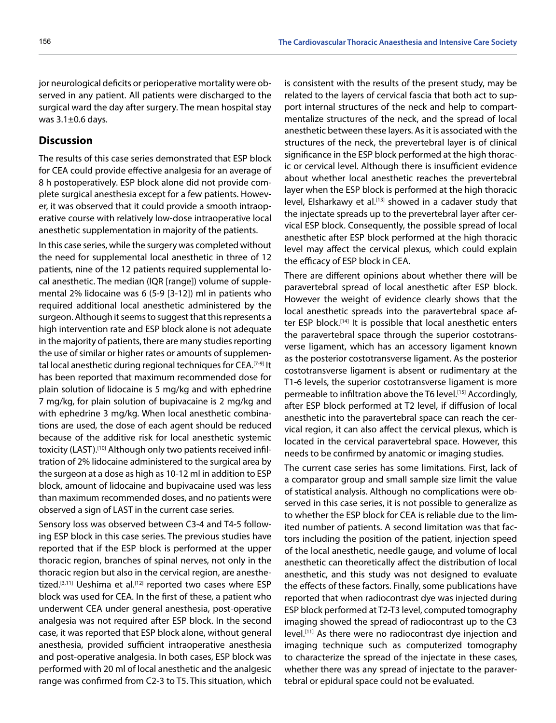jor neurological deficits or perioperative mortality were observed in any patient. All patients were discharged to the surgical ward the day after surgery. The mean hospital stay was 3.1±0.6 days.

## **Discussion**

The results of this case series demonstrated that ESP block for CEA could provide effective analgesia for an average of 8 h postoperatively. ESP block alone did not provide complete surgical anesthesia except for a few patients. However, it was observed that it could provide a smooth intraoperative course with relatively low-dose intraoperative local anesthetic supplementation in majority of the patients.

In this case series, while the surgery was completed without the need for supplemental local anesthetic in three of 12 patients, nine of the 12 patients required supplemental local anesthetic. The median (IQR [range]) volume of supplemental 2% lidocaine was 6 (5-9 [3-12]) ml in patients who required additional local anesthetic administered by the surgeon. Although it seems to suggest that this represents a high intervention rate and ESP block alone is not adequate in the majority of patients, there are many studies reporting the use of similar or higher rates or amounts of supplemental local anesthetic during regional techniques for CEA.[7-9] It has been reported that maximum recommended dose for plain solution of lidocaine is 5 mg/kg and with ephedrine 7 mg/kg, for plain solution of bupivacaine is 2 mg/kg and with ephedrine 3 mg/kg. When local anesthetic combinations are used, the dose of each agent should be reduced because of the additive risk for local anesthetic systemic toxicity (LAST).[10] Although only two patients received infiltration of 2% lidocaine administered to the surgical area by the surgeon at a dose as high as 10-12 ml in addition to ESP block, amount of lidocaine and bupivacaine used was less than maximum recommended doses, and no patients were observed a sign of LAST in the current case series.

Sensory loss was observed between C3-4 and T4-5 following ESP block in this case series. The previous studies have reported that if the ESP block is performed at the upper thoracic region, branches of spinal nerves, not only in the thoracic region but also in the cervical region, are anesthetized.<sup>[3,11]</sup> Ueshima et al.<sup>[12]</sup> reported two cases where ESP block was used for CEA. In the first of these, a patient who underwent CEA under general anesthesia, post-operative analgesia was not required after ESP block. In the second case, it was reported that ESP block alone, without general anesthesia, provided sufficient intraoperative anesthesia and post-operative analgesia. In both cases, ESP block was performed with 20 ml of local anesthetic and the analgesic range was confirmed from C2-3 to T5. This situation, which

is consistent with the results of the present study, may be related to the layers of cervical fascia that both act to support internal structures of the neck and help to compartmentalize structures of the neck, and the spread of local anesthetic between these layers. As it is associated with the structures of the neck, the prevertebral layer is of clinical significance in the ESP block performed at the high thoracic or cervical level. Although there is insufficient evidence about whether local anesthetic reaches the prevertebral layer when the ESP block is performed at the high thoracic level, Elsharkawy et al.<sup>[13]</sup> showed in a cadaver study that the injectate spreads up to the prevertebral layer after cervical ESP block. Consequently, the possible spread of local anesthetic after ESP block performed at the high thoracic level may affect the cervical plexus, which could explain the efficacy of ESP block in CEA.

There are different opinions about whether there will be paravertebral spread of local anesthetic after ESP block. However the weight of evidence clearly shows that the local anesthetic spreads into the paravertebral space after ESP block.<sup>[14]</sup> It is possible that local anesthetic enters the paravertebral space through the superior costotransverse ligament, which has an accessory ligament known as the posterior costotransverse ligament. As the posterior costotransverse ligament is absent or rudimentary at the T1-6 levels, the superior costotransverse ligament is more permeable to infiltration above the T6 level.<sup>[15]</sup> Accordingly, after ESP block performed at T2 level, if diffusion of local anesthetic into the paravertebral space can reach the cervical region, it can also affect the cervical plexus, which is located in the cervical paravertebral space. However, this needs to be confirmed by anatomic or imaging studies.

The current case series has some limitations. First, lack of a comparator group and small sample size limit the value of statistical analysis. Although no complications were observed in this case series, it is not possible to generalize as to whether the ESP block for CEA is reliable due to the limited number of patients. A second limitation was that factors including the position of the patient, injection speed of the local anesthetic, needle gauge, and volume of local anesthetic can theoretically affect the distribution of local anesthetic, and this study was not designed to evaluate the effects of these factors. Finally, some publications have reported that when radiocontrast dye was injected during ESP block performed at T2-T3 level, computed tomography imaging showed the spread of radiocontrast up to the C3 level.[11] As there were no radiocontrast dye injection and imaging technique such as computerized tomography to characterize the spread of the injectate in these cases, whether there was any spread of injectate to the paravertebral or epidural space could not be evaluated.